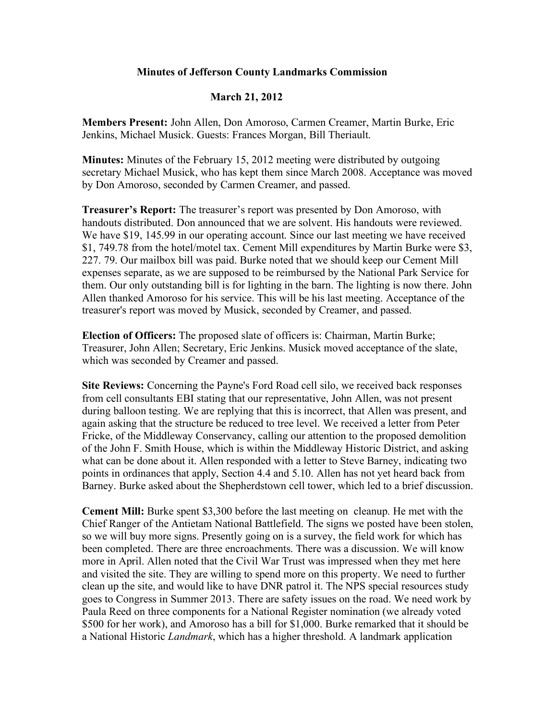## **Minutes of Jefferson County Landmarks Commission**

## **March 21, 2012**

**Members Present:** John Allen, Don Amoroso, Carmen Creamer, Martin Burke, Eric Jenkins, Michael Musick. Guests: Frances Morgan, Bill Theriault.

**Minutes:** Minutes of the February 15, 2012 meeting were distributed by outgoing secretary Michael Musick, who has kept them since March 2008. Acceptance was moved by Don Amoroso, seconded by Carmen Creamer, and passed.

**Treasurer's Report:** The treasurer's report was presented by Don Amoroso, with handouts distributed. Don announced that we are solvent. His handouts were reviewed. We have \$19, 145.99 in our operating account. Since our last meeting we have received \$1, 749.78 from the hotel/motel tax. Cement Mill expenditures by Martin Burke were \$3, 227. 79. Our mailbox bill was paid. Burke noted that we should keep our Cement Mill expenses separate, as we are supposed to be reimbursed by the National Park Service for them. Our only outstanding bill is for lighting in the barn. The lighting is now there. John Allen thanked Amoroso for his service. This will be his last meeting. Acceptance of the treasurer's report was moved by Musick, seconded by Creamer, and passed.

**Election of Officers:** The proposed slate of officers is: Chairman, Martin Burke; Treasurer, John Allen; Secretary, Eric Jenkins. Musick moved acceptance of the slate, which was seconded by Creamer and passed.

**Site Reviews:** Concerning the Payne's Ford Road cell silo, we received back responses from cell consultants EBI stating that our representative, John Allen, was not present during balloon testing. We are replying that this is incorrect, that Allen was present, and again asking that the structure be reduced to tree level. We received a letter from Peter Fricke, of the Middleway Conservancy, calling our attention to the proposed demolition of the John F. Smith House, which is within the Middleway Historic District, and asking what can be done about it. Allen responded with a letter to Steve Barney, indicating two points in ordinances that apply, Section 4.4 and 5.10. Allen has not yet heard back from Barney. Burke asked about the Shepherdstown cell tower, which led to a brief discussion.

**Cement Mill:** Burke spent \$3,300 before the last meeting on cleanup. He met with the Chief Ranger of the Antietam National Battlefield. The signs we posted have been stolen, so we will buy more signs. Presently going on is a survey, the field work for which has been completed. There are three encroachments. There was a discussion. We will know more in April. Allen noted that the Civil War Trust was impressed when they met here and visited the site. They are willing to spend more on this property. We need to further clean up the site, and would like to have DNR patrol it. The NPS special resources study goes to Congress in Summer 2013. There are safety issues on the road. We need work by Paula Reed on three components for a National Register nomination (we already voted \$500 for her work), and Amoroso has a bill for \$1,000. Burke remarked that it should be a National Historic *Landmark*, which has a higher threshold. A landmark application